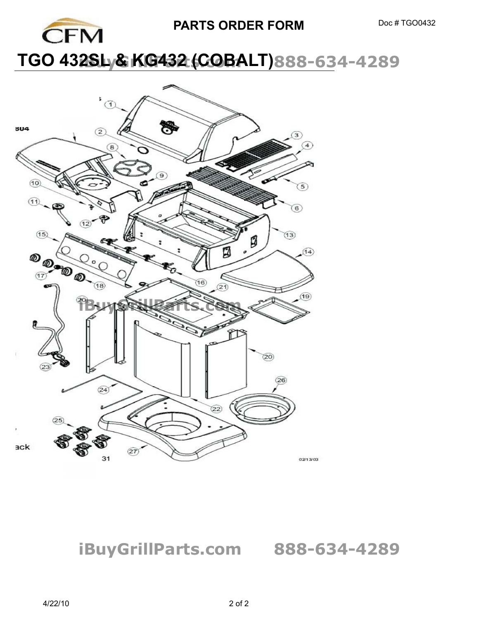

## **PARTS ORDER FORM** Doc # TGO0432

## **TGO 432SLy& KG432 (COBALT)888-634-4289**



**iBuyGrillParts.com 888-634-4289** 

of o to r mp